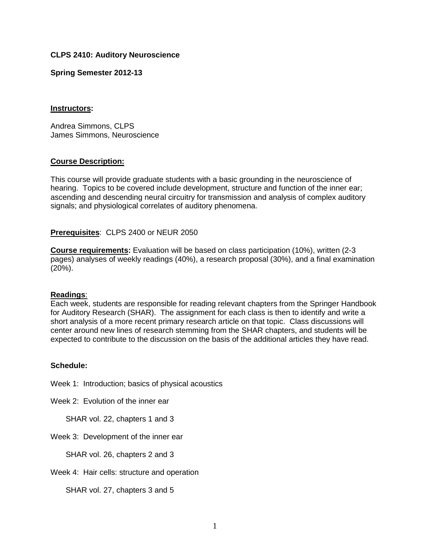# **CLPS 2410: Auditory Neuroscience**

### **Spring Semester 2012-13**

### **Instructors:**

Andrea Simmons, CLPS James Simmons, Neuroscience

# **Course Description:**

This course will provide graduate students with a basic grounding in the neuroscience of hearing. Topics to be covered include development, structure and function of the inner ear; ascending and descending neural circuitry for transmission and analysis of complex auditory signals; and physiological correlates of auditory phenomena.

# **Prerequisites**: CLPS 2400 or NEUR 2050

**Course requirements:** Evaluation will be based on class participation (10%), written (2-3 pages) analyses of weekly readings (40%), a research proposal (30%), and a final examination (20%).

#### **Readings**:

Each week, students are responsible for reading relevant chapters from the Springer Handbook for Auditory Research (SHAR). The assignment for each class is then to identify and write a short analysis of a more recent primary research article on that topic. Class discussions will center around new lines of research stemming from the SHAR chapters, and students will be expected to contribute to the discussion on the basis of the additional articles they have read.

#### **Schedule:**

Week 1: Introduction; basics of physical acoustics

Week 2: Evolution of the inner ear

SHAR vol. 22, chapters 1 and 3

Week 3: Development of the inner ear

SHAR vol. 26, chapters 2 and 3

Week 4: Hair cells: structure and operation

SHAR vol. 27, chapters 3 and 5